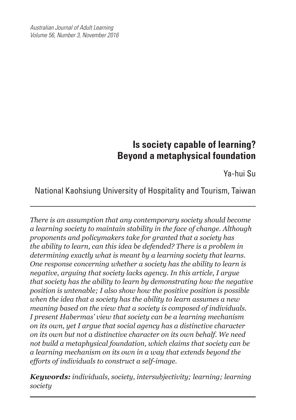*Australian Journal of Adult Learning Volume 56, Number 3, November 2016*

֦

# **Is society capable of learning? Beyond a metaphysical foundation**

Ya-hui Su

National Kaohsiung University of Hospitality and Tourism, Taiwan

*There is an assumption that any contemporary society should become a learning society to maintain stability in the face of change. Although proponents and policymakers take for granted that a society has the ability to learn, can this idea be defended? There is a problem in determining exactly what is meant by a learning society that learns. One response concerning whether a society has the ability to learn is negative, arguing that society lacks agency. In this article, I argue that society has the ability to learn by demonstrating how the negative position is untenable; I also show how the positive position is possible when the idea that a society has the ability to learn assumes a new meaning based on the view that a society is composed of individuals. I present Habermas' view that society can be a learning mechanism on its own, yet I argue that social agency has a distinctive character on its own but not a distinctive character on its own behalf. We need not build a metaphysical foundation, which claims that society can be a learning mechanism on its own in a way that extends beyond the efforts of individuals to construct a self-image.* 

*Keywords: individuals, society, intersubjectivity; learning; learning society*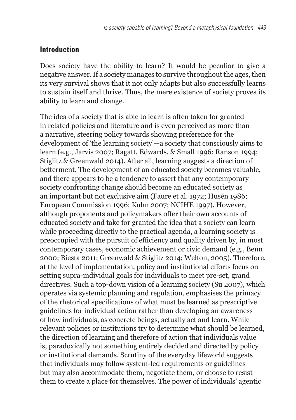#### **Introduction**

Does society have the ability to learn? It would be peculiar to give a negative answer. If a society manages to survive throughout the ages, then its very survival shows that it not only adapts but also successfully learns to sustain itself and thrive. Thus, the mere existence of society proves its ability to learn and change.

The idea of a society that is able to learn is often taken for granted in related policies and literature and is even perceived as more than a narrative, steering policy towards showing preference for the development of 'the learning society'—a society that consciously aims to learn (e.g., Jarvis 2007; Ragatt, Edwards, & Small 1996; Ranson 1994; Stiglitz & Greenwald 2014). After all, learning suggests a direction of betterment. The development of an educated society becomes valuable, and there appears to be a tendency to assert that any contemporary society confronting change should become an educated society as an important but not exclusive aim (Faure et al. 1972; Husén 1986; European Commission 1996; Kuhn 2007; NCIHE 1997). However, although proponents and policymakers offer their own accounts of educated society and take for granted the idea that a society can learn while proceeding directly to the practical agenda, a learning society is preoccupied with the pursuit of efficiency and quality driven by, in most contemporary cases, economic achievement or civic demand (e.g., Benn 2000; Biesta 2011; Greenwald & Stiglitz 2014; Welton, 2005). Therefore, at the level of implementation, policy and institutional efforts focus on setting supra-individual goals for individuals to meet pre-set, grand directives. Such a top-down vision of a learning society (Su 2007), which operates via systemic planning and regulation, emphasises the primacy of the rhetorical specifications of what must be learned as prescriptive guidelines for individual action rather than developing an awareness of how individuals, as concrete beings, actually act and learn. While relevant policies or institutions try to determine what should be learned, the direction of learning and therefore of action that individuals value is, paradoxically not something entirely decided and directed by policy or institutional demands. Scrutiny of the everyday lifeworld suggests that individuals may follow system-led requirements or guidelines but may also accommodate them, negotiate them, or choose to resist them to create a place for themselves. The power of individuals' agentic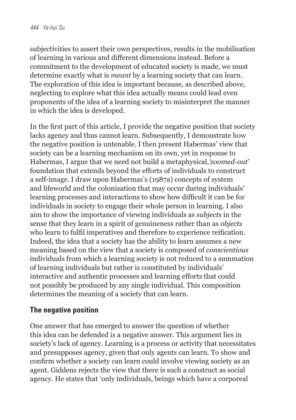subjectivities to assert their own perspectives, results in the mobilisation of learning in various and different dimensions instead. Before a commitment to the development of educated society is made, we must determine exactly what is *meant* by a learning society that can learn. The exploration of this idea is important because, as described above, neglecting to explore what this idea actually means could lead even proponents of the idea of a learning society to misinterpret the manner in which the idea is developed.

In the first part of this article, I provide the negative position that society lacks agency and thus cannot learn. Subsequently, I demonstrate how the negative position is untenable. I then present Habermas' view that society can be a learning mechanism on its own, yet in response to Habermas, I argue that we need not build a metaphysical,*'zoomed-out'* foundation that extends beyond the efforts of individuals to construct a self-image. I draw upon Habermas's (1987a) concepts of system and lifeworld and the colonisation that may occur during individuals' learning processes and interactions to show how difficult it can be for individuals in society to engage their whole person in learning. I also aim to show the importance of viewing individuals as *subjects* in the sense that they learn in a spirit of genuineness rather than as *objects* who learn to fulfil imperatives and therefore to experience reification. Indeed, the idea that a society has the ability to learn assumes a new meaning based on the view that a society is composed of *conscientious* individuals from which a learning society is not reduced to a summation of learning individuals but rather is constituted by individuals' interactive and authentic processes and learning efforts that could not possibly be produced by any single individual. This composition determines the meaning of a society that can learn.

### **The negative position**

One answer that has emerged to answer the question of whether this idea can be defended is a negative answer. This argument lies in society's lack of agency. Learning is a process or activity that necessitates and presupposes agency, given that only agents can learn. To show and confirm whether a society can learn could involve viewing society as an agent. Giddens rejects the view that there is such a construct as social agency. He states that 'only individuals, beings which have a corporeal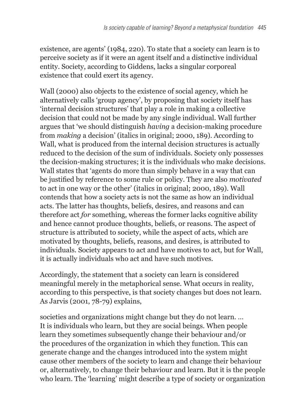existence, are agents' (1984, 220). To state that a society can learn is to perceive society as if it were an agent itself and a distinctive individual entity. Society, according to Giddens, lacks a singular corporeal existence that could exert its agency.

Wall (2000) also objects to the existence of social agency, which he alternatively calls 'group agency', by proposing that society itself has 'internal decision structures' that play a role in making a collective decision that could not be made by any single individual. Wall further argues that 'we should distinguish *having* a decision-making procedure from *making* a decision' (italics in original; 2000, 189). According to Wall, what is produced from the internal decision structures is actually reduced to the decision of the sum of individuals. Society only possesses the decision-making structures; it is the individuals who make decisions. Wall states that 'agents do more than simply behave in a way that can be justified by reference to some rule or policy. They are also *motivated* to act in one way or the other' (italics in original; 2000, 189). Wall contends that how a society acts is not the same as how an individual acts. The latter has thoughts, beliefs, desires, and reasons and can therefore act *for* something, whereas the former lacks cognitive ability and hence cannot produce thoughts, beliefs, or reasons. The aspect of structure is attributed to society, while the aspect of acts, which are motivated by thoughts, beliefs, reasons, and desires, is attributed to individuals. Society appears to act and have motives to act, but for Wall, it is actually individuals who act and have such motives.

Accordingly, the statement that a society can learn is considered meaningful merely in the metaphorical sense. What occurs in reality, according to this perspective, is that society changes but does not learn. As Jarvis (2001, 78-79) explains,

societies and organizations might change but they do not learn. … It is individuals who learn, but they are social beings. When people learn they sometimes subsequently change their behaviour and/or the procedures of the organization in which they function. This can generate change and the changes introduced into the system might cause other members of the society to learn and change their behaviour or, alternatively, to change their behaviour and learn. But it is the people who learn. The 'learning' might describe a type of society or organization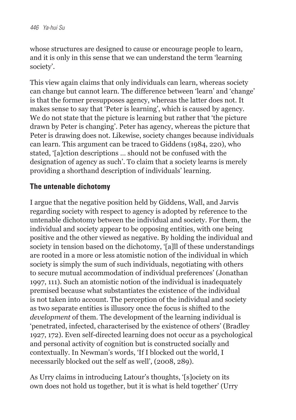whose structures are designed to cause or encourage people to learn, and it is only in this sense that we can understand the term 'learning society'.

This view again claims that only individuals can learn, whereas society can change but cannot learn. The difference between 'learn' and 'change' is that the former presupposes agency, whereas the latter does not. It makes sense to say that 'Peter is learning', which is caused by agency. We do not state that the picture is learning but rather that 'the picture drawn by Peter is changing'. Peter has agency, whereas the picture that Peter is drawing does not. Likewise, society changes because individuals can learn. This argument can be traced to Giddens (1984, 220), who stated, '[a]ction descriptions … should not be confused with the designation of agency as such'. To claim that a society learns is merely providing a shorthand description of individuals' learning.

### **The untenable dichotomy**

I argue that the negative position held by Giddens, Wall, and Jarvis regarding society with respect to agency is adopted by reference to the untenable dichotomy between the individual and society. For them, the individual and society appear to be opposing entities, with one being positive and the other viewed as negative. By holding the individual and society in tension based on the dichotomy, '[a]ll of these understandings are rooted in a more or less atomistic notion of the individual in which society is simply the sum of such individuals, negotiating with others to secure mutual accommodation of individual preferences' (Jonathan 1997, 111). Such an atomistic notion of the individual is inadequately premised because what substantiates the existence of the individual is not taken into account. The perception of the individual and society as two separate entities is illusory once the focus is shifted to the *development* of them. The development of the learning individual is 'penetrated, infected, characterised by the existence of others' (Bradley 1927, 172). Even self-directed learning does not occur as a psychological and personal activity of cognition but is constructed socially and contextually. In Newman's words, 'If I blocked out the world, I necessarily blocked out the self as well', (2008, 289).

As Urry claims in introducing Latour's thoughts, '[s]ociety on its own does not hold us together, but it is what is held together' (Urry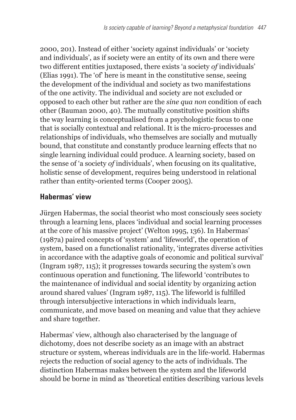2000, 201). Instead of either 'society against individuals' or 'society and individuals', as if society were an entity of its own and there were two different entities juxtaposed, there exists 'a society *of* individuals' (Elias 1991). The 'of' here is meant in the constitutive sense, seeing the development of the individual and society as two manifestations of the one activity. The individual and society are not excluded or opposed to each other but rather are the *sine qua non* condition of each other (Bauman 2000, 40). The mutually constitutive position shifts the way learning is conceptualised from a psychologistic focus to one that is socially contextual and relational. It is the micro-processes and relationships of individuals, who themselves are socially and mutually bound, that constitute and constantly produce learning effects that no single learning individual could produce. A learning society, based on the sense of 'a society *of* individuals', when focusing on its qualitative, holistic sense of development, requires being understood in relational rather than entity-oriented terms (Cooper 2005).

### **Habermas' view**

Jürgen Habermas, the social theorist who most consciously sees society through a learning lens, places 'individual and social learning processes at the core of his massive project' (Welton 1995, 136). In Habermas' (1987a) paired concepts of 'system' and 'lifeworld', the operation of system, based on a functionalist rationality, 'integrates diverse activities in accordance with the adaptive goals of economic and political survival' (Ingram 1987, 115); it progresses towards securing the system's own continuous operation and functioning. The lifeworld 'contributes to the maintenance of individual and social identity by organizing action around shared values' (Ingram 1987, 115). The lifeworld is fulfilled through intersubjective interactions in which individuals learn, communicate, and move based on meaning and value that they achieve and share together.

Habermas' view, although also characterised by the language of dichotomy, does not describe society as an image with an abstract structure or system, whereas individuals are in the life-world. Habermas rejects the reduction of social agency to the acts of individuals. The distinction Habermas makes between the system and the lifeworld should be borne in mind as 'theoretical entities describing various levels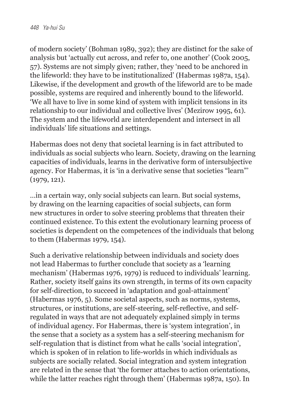of modern society' (Bohman 1989, 392); they are distinct for the sake of analysis but 'actually cut across, and refer to, one another' (Cook 2005, 57). Systems are not simply given; rather, they 'need to be anchored in the lifeworld: they have to be institutionalized' (Habermas 1987a, 154). Likewise, if the development and growth of the lifeworld are to be made possible, systems are required and inherently bound to the lifeworld. 'We all have to live in some kind of system with implicit tensions in its relationship to our individual and collective lives' (Mezirow 1995, 61). The system and the lifeworld are interdependent and intersect in all individuals' life situations and settings.

Habermas does not deny that societal learning is in fact attributed to individuals as social subjects who learn. Society, drawing on the learning capacities of individuals, learns in the derivative form of intersubjective agency. For Habermas, it is 'in a derivative sense that societies "learn"' (1979, 121).

…in a certain way, only social subjects can learn. But social systems, by drawing on the learning capacities of social subjects, can form new structures in order to solve steering problems that threaten their continued existence. To this extent the evolutionary learning process of societies is dependent on the competences of the individuals that belong to them (Habermas 1979, 154).

Such a derivative relationship between individuals and society does not lead Habermas to further conclude that society as a 'learning mechanism' (Habermas 1976, 1979) is reduced to individuals' learning. Rather, society itself gains its own strength, in terms of its own capacity for self-direction, to succeed in 'adaptation and goal-attainment' (Habermas 1976, 5). Some societal aspects, such as norms, systems, structures, or institutions, are self-steering, self-reflective, and selfregulated in ways that are not adequately explained simply in terms of individual agency. For Habermas, there is 'system integration', in the sense that a society as a system has a self-steering mechanism for self-regulation that is distinct from what he calls 'social integration', which is spoken of in relation to life-worlds in which individuals as subjects are socially related. Social integration and system integration are related in the sense that 'the former attaches to action orientations, while the latter reaches right through them' (Habermas 1987a, 150). In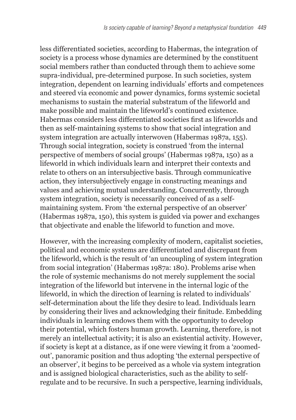less differentiated societies, according to Habermas, the integration of society is a process whose dynamics are determined by the constituent social members rather than conducted through them to achieve some supra-individual, pre-determined purpose. In such societies, system integration, dependent on learning individuals' efforts and competences and steered via economic and power dynamics, forms systemic societal mechanisms to sustain the material substratum of the lifeworld and make possible and maintain the lifeworld's continued existence. Habermas considers less differentiated societies first as lifeworlds and then as self-maintaining systems to show that social integration and system integration are actually interwoven (Habermas 1987a, 155). Through social integration, society is construed 'from the internal perspective of members of social groups' (Habermas 1987a, 150) as a lifeworld in which individuals learn and interpret their contexts and relate to others on an intersubjective basis. Through communicative action, they intersubjectively engage in constructing meanings and values and achieving mutual understanding. Concurrently, through system integration, society is necessarily conceived of as a selfmaintaining system. From 'the external perspective of an observer' (Habermas 1987a, 150), this system is guided via power and exchanges that objectivate and enable the lifeworld to function and move.

However, with the increasing complexity of modern, capitalist societies, political and economic systems are differentiated and discrepant from the lifeworld, which is the result of 'an uncoupling of system integration from social integration' (Habermas 1987a: 180). Problems arise when the role of systemic mechanisms do not merely supplement the social integration of the lifeworld but intervene in the internal logic of the lifeworld, in which the direction of learning is related to individuals' self-determination about the life they desire to lead. Individuals learn by considering their lives and acknowledging their finitude. Embedding individuals in learning endows them with the opportunity to develop their potential, which fosters human growth. Learning, therefore, is not merely an intellectual activity; it is also an existential activity. However, if society is kept at a distance, as if one were viewing it from a 'zoomedout', panoramic position and thus adopting 'the external perspective of an observer', it begins to be perceived as a whole via system integration and is assigned biological characteristics, such as the ability to selfregulate and to be recursive. In such a perspective, learning individuals,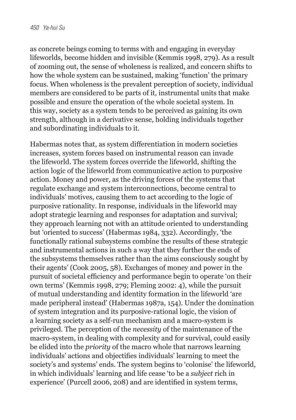as concrete beings coming to terms with and engaging in everyday lifeworlds, become hidden and invisible (Kemmis 1998, 279). As a result of zooming out, the sense of wholeness is realized, and concern shifts to how the whole system can be sustained, making 'function' the primary focus. When wholeness is the prevalent perception of society, individual members are considered to be parts of it, instrumental units that make possible and ensure the operation of the whole societal system. In this way, society as a system tends to be perceived as gaining its own strength, although in a derivative sense, holding individuals together and subordinating individuals to it.

Habermas notes that, as system differentiation in modern societies increases, system forces based on instrumental reason can invade the lifeworld. The system forces override the lifeworld, shifting the action logic of the lifeworld from communicative action to purposive action. Money and power, as the driving forces of the systems that regulate exchange and system interconnections, become central to individuals' motives, causing them to act according to the logic of purposive rationality. In response, individuals in the lifeworld may adopt strategic learning and responses for adaptation and survival; they approach learning not with an attitude oriented to understanding but 'oriented to success' (Habermas 1984, 332). Accordingly, 'the functionally rational subsystems combine the results of these strategic and instrumental actions in such a way that they further the ends of the subsystems themselves rather than the aims consciously sought by their agents' (Cook 2005, 58). Exchanges of money and power in the pursuit of societal efficiency and performance begin to operate 'on their own terms' (Kemmis 1998, 279; Fleming 2002: 4), while the pursuit of mutual understanding and identity formation in the lifeworld 'are made peripheral instead' (Habermas 1987a, 154). Under the domination of system integration and its purposive-rational logic, the vision of a learning society as a self-run mechanism and a macro-system is privileged. The perception of the *necessity* of the maintenance of the macro-system, in dealing with complexity and for survival, could easily be elided into the *priority* of the macro whole that narrows learning individuals' actions and objectifies individuals' learning to meet the society's and systems' ends. The system begins to 'colonise' the lifeworld, in which individuals' learning and life cease 'to be a *subject* rich in experience' (Purcell 2006, 208) and are identified in system terms,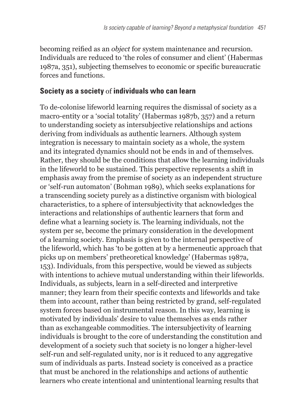becoming reified as an *object* for system maintenance and recursion. Individuals are reduced to 'the roles of consumer and client' (Habermas 1987a, 351), subjecting themselves to economic or specific bureaucratic forces and functions.

#### **Society as a society** of **individuals who can learn**

To de-colonise lifeworld learning requires the dismissal of society as a macro-entity or a 'social totality' (Habermas 1987b, 357) and a return to understanding society as intersubjective relationships and actions deriving from individuals as authentic learners. Although system integration is necessary to maintain society as a whole, the system and its integrated dynamics should not be ends in and of themselves. Rather, they should be the conditions that allow the learning individuals in the lifeworld to be sustained. This perspective represents a shift in emphasis away from the premise of society as an independent structure or 'self-run automaton' (Bohman 1989), which seeks explanations for a transcending society purely as a distinctive organism with biological characteristics, to a sphere of intersubjectivity that acknowledges the interactions and relationships of authentic learners that form and define what a learning society is. The learning individuals, not the system per se, become the primary consideration in the development of a learning society. Emphasis is given to the internal perspective of the lifeworld, which has 'to be gotten at by a hermeneutic approach that picks up on members' pretheoretical knowledge' (Habermas 1987a, 153). Individuals, from this perspective, would be viewed as subjects with intentions to achieve mutual understanding within their lifeworlds. Individuals, as subjects, learn in a self-directed and interpretive manner; they learn from their specific contexts and lifeworlds and take them into account, rather than being restricted by grand, self-regulated system forces based on instrumental reason. In this way, learning is motivated by individuals' desire to value themselves as ends rather than as exchangeable commodities. The intersubjectivity of learning individuals is brought to the core of understanding the constitution and development of a society such that society is no longer a higher-level self-run and self-regulated unity, nor is it reduced to any aggregative sum of individuals as parts. Instead society is conceived as a practice that must be anchored in the relationships and actions of authentic learners who create intentional and unintentional learning results that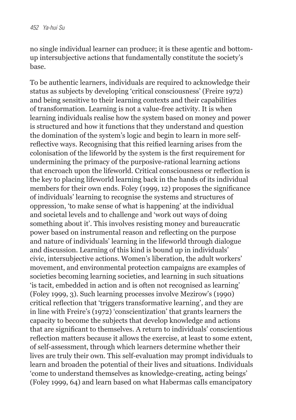no single individual learner can produce; it is these agentic and bottomup intersubjective actions that fundamentally constitute the society's base.

To be authentic learners, individuals are required to acknowledge their status as subjects by developing 'critical consciousness' (Freire 1972) and being sensitive to their learning contexts and their capabilities of transformation. Learning is not a value-free activity. It is when learning individuals realise how the system based on money and power is structured and how it functions that they understand and question the domination of the system's logic and begin to learn in more selfreflective ways. Recognising that this reified learning arises from the colonisation of the lifeworld by the system is the first requirement for undermining the primacy of the purposive-rational learning actions that encroach upon the lifeworld. Critical consciousness or reflection is the key to placing lifeworld learning back in the hands of its individual members for their own ends. Foley (1999, 12) proposes the significance of individuals' learning to recognise the systems and structures of oppression, 'to make sense of what is happening' at the individual and societal levels and to challenge and 'work out ways of doing something about it'. This involves resisting money and bureaucratic power based on instrumental reason and reflecting on the purpose and nature of individuals' learning in the lifeworld through dialogue and discussion. Learning of this kind is bound up in individuals' civic, intersubjective actions. Women's liberation, the adult workers' movement, and environmental protection campaigns are examples of societies becoming learning societies, and learning in such situations 'is tacit, embedded in action and is often not recognised as learning' (Foley 1999, 3). Such learning processes involve Mezirow's (1990) critical reflection that 'triggers transformative learning', and they are in line with Freire's (1972) 'conscientization' that grants learners the capacity to become the subjects that develop knowledge and actions that are significant to themselves. A return to individuals' conscientious reflection matters because it allows the exercise, at least to some extent, of self-assessment, through which learners determine whether their lives are truly their own. This self-evaluation may prompt individuals to learn and broaden the potential of their lives and situations. Individuals 'come to understand themselves as knowledge-creating, acting beings' (Foley 1999, 64) and learn based on what Habermas calls emancipatory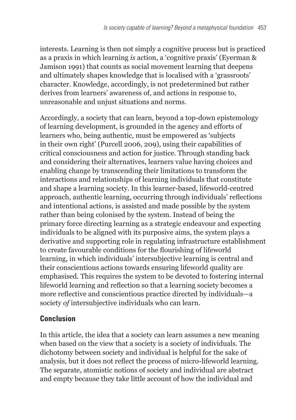interests. Learning is then not simply a cognitive process but is practiced as a praxis in which learning *is* action, a 'cognitive praxis' (Eyerman & Jamison 1991) that counts as social movement learning that deepens and ultimately shapes knowledge that is localised with a 'grassroots' character. Knowledge, accordingly, is not predetermined but rather derives from learners' awareness of, and actions in response to, unreasonable and unjust situations and norms.

Accordingly, a society that can learn, beyond a top-down epistemology of learning development, is grounded in the agency and efforts of learners who, being authentic, must be empowered as 'subjects in their own right' (Purcell 2006, 209), using their capabilities of critical consciousness and action for justice. Through standing back and considering their alternatives, learners value having choices and enabling change by transcending their limitations to transform the interactions and relationships of learning individuals that constitute and shape a learning society. In this learner-based, lifeworld-centred approach, authentic learning, occurring through individuals' reflections and intentional actions, is assisted and made possible by the system rather than being colonised by the system. Instead of being the primary force directing learning as a strategic endeavour and expecting individuals to be aligned with its purposive aims, the system plays a derivative and supporting role in regulating infrastructure establishment to create favourable conditions for the flourishing of lifeworld learning, in which individuals' intersubjective learning is central and their conscientious actions towards ensuring lifeworld quality are emphasised. This requires the system to be devoted to fostering internal lifeworld learning and reflection so that a learning society becomes a more reflective and conscientious practice directed by individuals—a society *of* intersubjective individuals who can learn.

### **Conclusion**

In this article, the idea that a society can learn assumes a new meaning when based on the view that a society is a society of individuals. The dichotomy between society and individual is helpful for the sake of analysis, but it does not reflect the process of micro-lifeworld learning. The separate, atomistic notions of society and individual are abstract and empty because they take little account of how the individual and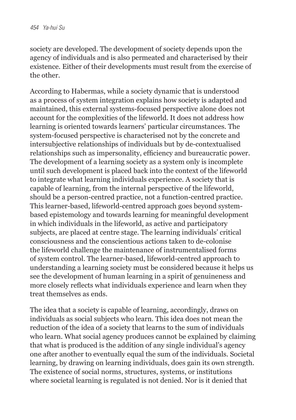society are developed. The development of society depends upon the agency of individuals and is also permeated and characterised by their existence. Either of their developments must result from the exercise of the other.

According to Habermas, while a society dynamic that is understood as a process of system integration explains how society is adapted and maintained, this external systems-focused perspective alone does not account for the complexities of the lifeworld. It does not address how learning is oriented towards learners' particular circumstances. The system-focused perspective is characterised not by the concrete and intersubjective relationships of individuals but by de-contextualised relationships such as impersonality, efficiency and bureaucratic power. The development of a learning society as a system only is incomplete until such development is placed back into the context of the lifeworld to integrate what learning individuals experience. A society that is capable of learning, from the internal perspective of the lifeworld, should be a person-centred practice, not a function-centred practice. This learner-based, lifeworld-centred approach goes beyond systembased epistemology and towards learning for meaningful development in which individuals in the lifeworld, as active and participatory subjects, are placed at centre stage. The learning individuals' critical consciousness and the conscientious actions taken to de-colonise the lifeworld challenge the maintenance of instrumentalised forms of system control. The learner-based, lifeworld-centred approach to understanding a learning society must be considered because it helps us see the development of human learning in a spirit of genuineness and more closely reflects what individuals experience and learn when they treat themselves as ends.

The idea that a society is capable of learning, accordingly, draws on individuals as social subjects who learn. This idea does not mean the reduction of the idea of a society that learns to the sum of individuals who learn. What social agency produces cannot be explained by claiming that what is produced is the addition of any single individual's agency one after another to eventually equal the sum of the individuals. Societal learning, by drawing on learning individuals, does gain its own strength. The existence of social norms, structures, systems, or institutions where societal learning is regulated is not denied. Nor is it denied that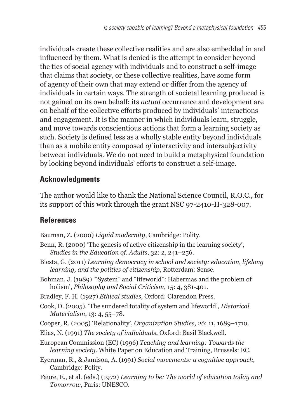individuals create these collective realities and are also embedded in and influenced by them. What is denied is the attempt to consider beyond the ties of social agency with individuals and to construct a self-image that claims that society, or these collective realities, have some form of agency of their own that may extend or differ from the agency of individuals in certain ways. The strength of societal learning produced is not gained on its own behalf; its *actual* occurrence and development are on behalf of the collective efforts produced by individuals' interactions and engagement. It is the manner in which individuals learn, struggle, and move towards conscientious actions that form a learning society as such. Society is defined less as a wholly stable entity beyond individuals than as a mobile entity composed *of* interactivity and intersubjectivity between individuals. We do not need to build a metaphysical foundation by looking beyond individuals' efforts to construct a self-image.

## **Acknowledgments**

The author would like to thank the National Science Council, R.O.C., for its support of this work through the grant NSC 97-2410-H-328-007.

## **References**

Bauman, Z. (2000) *Liquid modernity*, Cambridge: Polity.

- Benn, R. (2000) 'The genesis of active citizenship in the learning society', *Studies in the Education of. Adults*, 32: 2, 241–256.
- Biesta, G. (2011) *Learning democracy in school and society: education, lifelong learning, and the politics of citizenship*, Rotterdam: Sense.
- Bohman, J. (1989) '"System" and "lifeworld": Habermas and the problem of holism', *Philosophy and Social Criticism*, 15: 4, 381-401.
- Bradley, F. H. (1927) *Ethical studies*, Oxford: Clarendon Press.
- Cook, D. (2005). 'The sundered totality of system and lifeworld', *Historical Materialism*, 13: 4, 55–78.
- Cooper, R. (2005) 'Relationality', *Organization Studies, 26*: 11, 1689–1710.
- Elias, N. (1991) *The society of individuals*, Oxford: Basil Blackwell.

European Commission (EC) (1996) *Teaching and learning: Towards the learning society*. White Paper on Education and Training, Brussels: EC.

- Eyerman, R., & Jamison, A. (1991) *Social movements: a cognitive approach*, Cambridge: Polity.
- Faure, E., et al. (eds.) (1972) *Learning to be: The world of education today and Tomorrow*, Paris: UNESCO.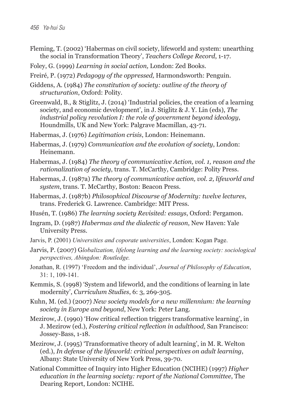- Fleming, T. (2002) 'Habermas on civil society, lifeworld and system: unearthing the social in Transformation Theory', *Teachers College Record*, 1-17.
- Foley, G. (1999) *Learning in social action,* London: Zed Books.
- Freiré, P. (1972) *Pedagogy of the oppressed,* Harmondsworth: Penguin.
- Giddens, A. (1984) *The constitution of society: outline of the theory of structuration*, Oxford: Polity.
- Greenwald, B., & Stiglitz, J. (2014) 'Industrial policies, the creation of a learning society, and economic development', in J. Stiglitz & J. Y. Lin (eds), *The industrial policy revolution I: the role of government beyond ideology*, Houndmills, UK and New York: Palgrave Macmillan, 43-71.
- Habermas, J. (1976) *Legitimation crisis*, London: Heinemann.
- Habermas, J. (1979) *Communication and the evolution of society*, London: Heinemann.
- Habermas, J. (1984) *The theory of communicative Action, vol. 1, reason and the rationalization of society*, trans. T. McCarthy, Cambridge: Polity Press.
- Habermas, J. (1987a) *The theory of communicative action, vol. 2, lifeworld and system*, trans. T. McCarthy, Boston: Beacon Press.
- Habermas, J. (1987b) *Philosophical Discourse of Modernity: twelve lectures*, trans. Frederick G. Lawrence. Cambridge: MIT Press.
- Husén, T. (1986) *The learning society Revisited: essays*, Oxford: Pergamon.
- Ingram, D. (1987) *Habermas and the dialectic of reason*, New Haven: Yale University Press.
- Jarvis, P. (2001) *Universities and coporate universities*, London: Kogan Page.
- Jarvis, P. (2007) G*lobalization, lifelong learning and the learning society: sociological perspectives, Abingdon: Routledge.*
- Jonathan, R. (1997) 'Freedom and the individual', *Journal of Philosophy of Education*, 31: 1, 109-141.
- Kemmis, S. (1998) 'System and lifeworld, and the conditions of learning in late modernity', *Curriculum Studies*, 6: 3, 269-305.
- Kuhn, M. (ed.) (2007) *New society models for a new millennium: the learning society in Europe and beyond*, New York: Peter Lang.
- Mezirow, J. (1990) 'How critical reflection triggers transformative learning', in J. Mezirow (ed.), *Fostering critical reflection in adulthood,* San Francisco: Jossey-Bass, 1-18.
- Mezirow, J. (1995) 'Transformative theory of adult learning', in M. R. Welton (ed.), *In defense of the lifeworld: critical perspectives on adult learning*, Albany: State University of New York Press, 39-70.
- National Committee of Inquiry into Higher Education (NCIHE) (1997) *Higher education in the learning society: report of the National Committee*, The Dearing Report, London: NCIHE.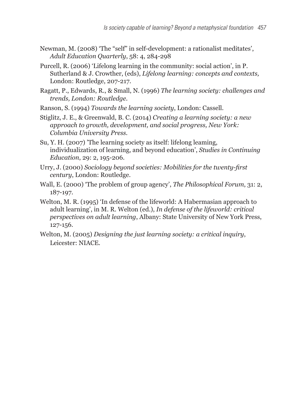- Newman, M. (2008) 'The "self" in self-development: a rationalist meditates', *Adult Education Quarterly*, 58: 4, 284-298
- Purcell, R. (2006) 'Lifelong learning in the community: social action', in P. Sutherland & J. Crowther, (eds), *Lifelong learning: concepts and contexts,* London: Routledge, 207-217.
- Ragatt, P., Edwards, R., & Small, N. (1996) *The learning society: challenges and trends, London: Routledge.*
- Ranson, S. (1994) *Towards the learning society*, London: Cassell.
- Stiglitz, J. E., & Greenwald, B. C. (2014) *Creating a learning society: a new approach to growth, development, and social progress, New York: Columbia University Press.*
- Su, Y. H. (2007) 'The learning society as itself: lifelong leaming, individualization of learning, and beyond education', *Studies in Continuing Education*, 29: 2, 195-206.
- Urry, J. (2000) *Sociology beyond societies: Mobilities for the twenty-first century*, London: Routledge.
- Wall, E. (2000) 'The problem of group agency', *The Philosophical Forum*, 31: 2, 187-197.
- Welton, M. R. (1995) 'In defense of the lifeworld: A Habermasian approach to adult learning', in M. R. Welton (ed.), *In defense of the lifeworld: critical perspectives on adult learning*, Albany: State University of New York Press, 127-156.
- Welton, M. (2005) *Designing the just learning society: a critical inquiry*, Leicester: NIACE.